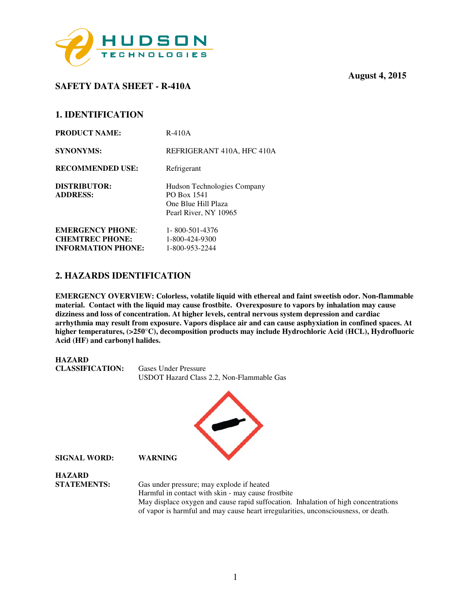

# **SAFETY DATA SHEET - R-410A**

## **1. IDENTIFICATION**

| <b>PRODUCT NAME:</b>            | $R-410A$                                                                                   |
|---------------------------------|--------------------------------------------------------------------------------------------|
| <b>SYNONYMS:</b>                | REFRIGERANT 410A, HFC 410A                                                                 |
| <b>RECOMMENDED USE:</b>         | Refrigerant                                                                                |
| DISTRIBUTOR:<br><b>ADDRESS:</b> | Hudson Technologies Company<br>PO Box 1541<br>One Blue Hill Plaza<br>Pearl River, NY 10965 |
| <b>EMERGENCY PHONE:</b>         | 1-800-501-4376                                                                             |
| <b>CHEMTREC PHONE:</b>          | 1-800-424-9300                                                                             |
| <b>INFORMATION PHONE:</b>       | 1-800-953-2244                                                                             |

## **2. HAZARDS IDENTIFICATION**

**EMERGENCY OVERVIEW: Colorless, volatile liquid with ethereal and faint sweetish odor. Non-flammable material. Contact with the liquid may cause frostbite. Overexposure to vapors by inhalation may cause dizziness and loss of concentration. At higher levels, central nervous system depression and cardiac arrhythmia may result from exposure. Vapors displace air and can cause asphyxiation in confined spaces. At higher temperatures, (>250**°**C), decomposition products may include Hydrochloric Acid (HCL), Hydrofluoric Acid (HF) and carbonyl halides.** 



 May displace oxygen and cause rapid suffocation. Inhalation of high concentrations of vapor is harmful and may cause heart irregularities, unconsciousness, or death.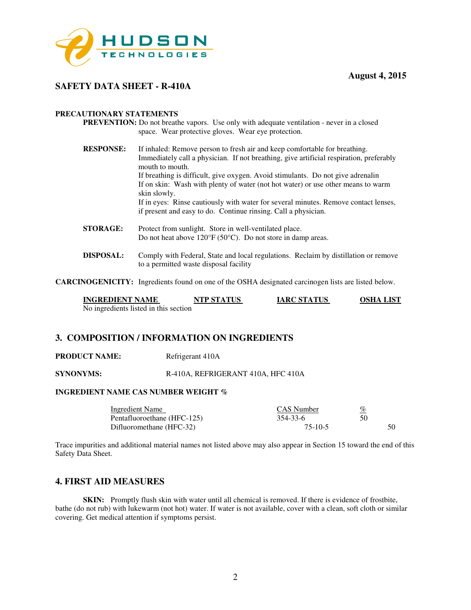

### **SAFETY DATA SHEET - R-410A**

#### **PRECAUTIONARY STATEMENTS**

- **PREVENTION:** Do not breathe vapors. Use only with adequate ventilation never in a closed space. Wear protective gloves. Wear eye protection.
- **RESPONSE:** If inhaled: Remove person to fresh air and keep comfortable for breathing. Immediately call a physician. If not breathing, give artificial respiration, preferably mouth to mouth. If breathing is difficult, give oxygen. Avoid stimulants. Do not give adrenalin If on skin: Wash with plenty of water (not hot water) or use other means to warm skin slowly. If in eyes: Rinse cautiously with water for several minutes. Remove contact lenses, if present and easy to do. Continue rinsing. Call a physician.
- **STORAGE:** Protect from sunlight. Store in well-ventilated place. Do not heat above 120°F (50°C). Do not store in damp areas.
- **DISPOSAL:** Comply with Federal, State and local regulations. Reclaim by distillation or remove to a permitted waste disposal facility

**CARCINOGENICITY:** Ingredients found on one of the OSHA designated carcinogen lists are listed below.

| <b>INGREDIENT NAME</b>                | <b>NTP STATUS</b> | <b>IARC STATUS</b> | OSHA LIST |
|---------------------------------------|-------------------|--------------------|-----------|
| No ingredients listed in this section |                   |                    |           |

### **3. COMPOSITION / INFORMATION ON INGREDIENTS**

**PRODUCT NAME:** Refrigerant 410A

**SYNONYMS:** R-410A, REFRIGERANT 410A, HFC 410A

#### **INGREDIENT NAME CAS NUMBER WEIGHT %**

| Ingredient Name             | <b>CAS</b> Number | <u>%</u> |
|-----------------------------|-------------------|----------|
| Pentafluoroethane (HFC-125) | 354-33-6          | 50       |
| Difluoromethane (HFC-32)    | 75-10-5           | 50       |

Trace impurities and additional material names not listed above may also appear in Section 15 toward the end of this Safety Data Sheet.

### **4. FIRST AID MEASURES**

**SKIN:** Promptly flush skin with water until all chemical is removed. If there is evidence of frostbite, bathe (do not rub) with lukewarm (not hot) water. If water is not available, cover with a clean, soft cloth or similar covering. Get medical attention if symptoms persist.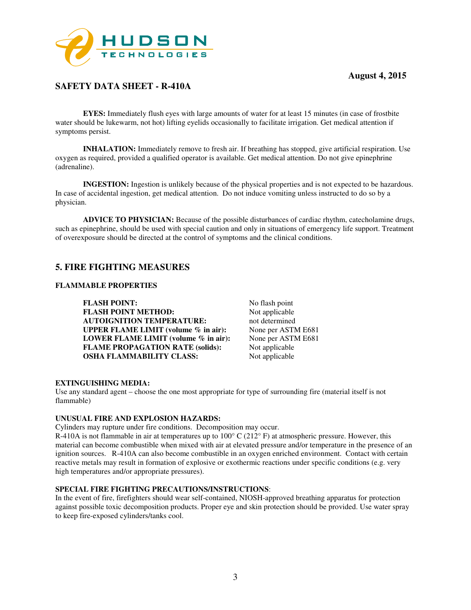

# **SAFETY DATA SHEET - R-410A**

**EYES:** Immediately flush eyes with large amounts of water for at least 15 minutes (in case of frostbite water should be lukewarm, not hot) lifting eyelids occasionally to facilitate irrigation. Get medical attention if symptoms persist.

**INHALATION:** Immediately remove to fresh air. If breathing has stopped, give artificial respiration. Use oxygen as required, provided a qualified operator is available. Get medical attention. Do not give epinephrine (adrenaline).

 **INGESTION:** Ingestion is unlikely because of the physical properties and is not expected to be hazardous. In case of accidental ingestion, get medical attention. Do not induce vomiting unless instructed to do so by a physician.

**ADVICE TO PHYSICIAN:** Because of the possible disturbances of cardiac rhythm, catecholamine drugs, such as epinephrine, should be used with special caution and only in situations of emergency life support. Treatment of overexposure should be directed at the control of symptoms and the clinical conditions.

## **5. FIRE FIGHTING MEASURES**

#### **FLAMMABLE PROPERTIES**

**FLASH POINT:** No flash point<br> **FLASH POINT METHOD:** Not applicable **FLASH POINT METHOD: AUTOIGNITION TEMPERATURE:** not determined<br> **UPPER FLAME LIMIT** (volume % in air): None per ASTM E681 **UPPER FLAME LIMIT (volume % in air):** None per ASTM E681<br>**LOWER FLAME LIMIT (volume % in air):** None per ASTM E681 **LOWER FLAME LIMIT (volume % in air): FLAME PROPAGATION RATE (solids):** Not applicable **OSHA FLAMMABILITY CLASS:** Not applicable

#### **EXTINGUISHING MEDIA:**

Use any standard agent – choose the one most appropriate for type of surrounding fire (material itself is not flammable)

#### **UNUSUAL FIRE AND EXPLOSION HAZARDS:**

Cylinders may rupture under fire conditions. Decomposition may occur.

R-410A is not flammable in air at temperatures up to  $100^{\circ}$  C ( $212^{\circ}$  F) at atmospheric pressure. However, this material can become combustible when mixed with air at elevated pressure and/or temperature in the presence of an ignition sources. R-410A can also become combustible in an oxygen enriched environment. Contact with certain reactive metals may result in formation of explosive or exothermic reactions under specific conditions (e.g. very high temperatures and/or appropriate pressures).

### **SPECIAL FIRE FIGHTING PRECAUTIONS/INSTRUCTIONS**:

In the event of fire, firefighters should wear self-contained, NIOSH-approved breathing apparatus for protection against possible toxic decomposition products. Proper eye and skin protection should be provided. Use water spray to keep fire-exposed cylinders/tanks cool.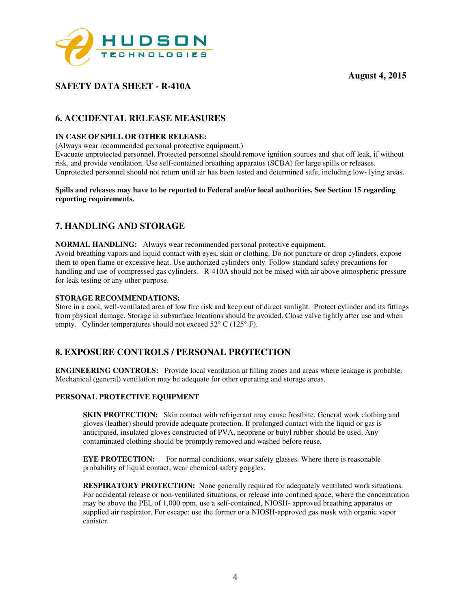

# **SAFETY DATA SHEET - R-410A**

# **6. ACCIDENTAL RELEASE MEASURES**

### **IN CASE OF SPILL OR OTHER RELEASE:**

(Always wear recommended personal protective equipment.)

Evacuate unprotected personnel. Protected personnel should remove ignition sources and shut off leak, if without risk, and provide ventilation. Use self-contained breathing apparatus (SCBA) for large spills or releases. Unprotected personnel should not return until air has been tested and determined safe, including low- lying areas.

#### **Spills and releases may have to be reported to Federal and/or local authorities. See Section 15 regarding reporting requirements.**

# **7. HANDLING AND STORAGE**

**NORMAL HANDLING:** Always wear recommended personal protective equipment. Avoid breathing vapors and liquid contact with eyes, skin or clothing. Do not puncture or drop cylinders, expose them to open flame or excessive heat. Use authorized cylinders only. Follow standard safety precautions for handling and use of compressed gas cylinders. R-410A should not be mixed with air above atmospheric pressure for leak testing or any other purpose.

### **STORAGE RECOMMENDATIONS:**

Store in a cool, well-ventilated area of low fire risk and keep out of direct sunlight. Protect cylinder and its fittings from physical damage. Storage in subsurface locations should be avoided. Close valve tightly after use and when empty. Cylinder temperatures should not exceed  $52^{\circ}$  C (125° F).

# **8. EXPOSURE CONTROLS / PERSONAL PROTECTION**

**ENGINEERING CONTROLS:** Provide local ventilation at filling zones and areas where leakage is probable. Mechanical (general) ventilation may be adequate for other operating and storage areas.

### **PERSONAL PROTECTIVE EQUIPMENT**

**SKIN PROTECTION:** Skin contact with refrigerant may cause frostbite. General work clothing and gloves (leather) should provide adequate protection. If prolonged contact with the liquid or gas is anticipated, insulated gloves constructed of PVA, neoprene or butyl rubber should be used. Any contaminated clothing should be promptly removed and washed before reuse.

**EYE PROTECTION:** For normal conditions, wear safety glasses. Where there is reasonable probability of liquid contact, wear chemical safety goggles.

 **RESPIRATORY PROTECTION:** None generally required for adequately ventilated work situations. For accidental release or non-ventilated situations, or release into confined space, where the concentration may be above the PEL of 1,000 ppm, use a self-contained, NIOSH- approved breathing apparatus or supplied air respirator. For escape: use the former or a NIOSH-approved gas mask with organic vapor canister.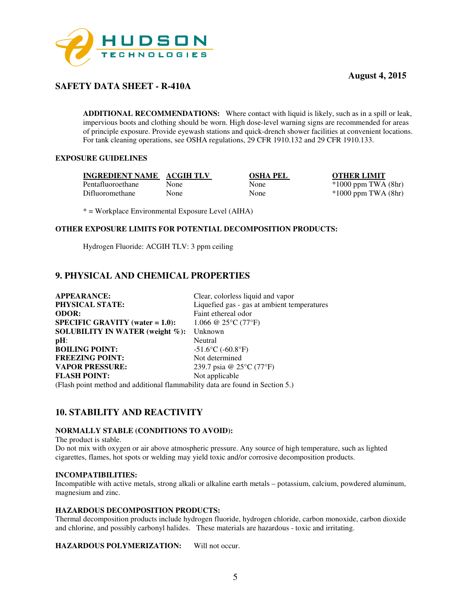

# **SAFETY DATA SHEET - R-410A**

**ADDITIONAL RECOMMENDATIONS:** Where contact with liquid is likely, such as in a spill or leak, impervious boots and clothing should be worn. High dose-level warning signs are recommended for areas of principle exposure. Provide eyewash stations and quick-drench shower facilities at convenient locations. For tank cleaning operations, see OSHA regulations, 29 CFR 1910.132 and 29 CFR 1910.133.

### **EXPOSURE GUIDELINES**

**INGREDIENT NAME ACGIH TLV OSHA PEL OTHER LIMIT** Pentafluoroethane None None \*1000 ppm TWA (8hr) Difluoromethane None None \*1000 ppm TWA (8hr)

\* = Workplace Environmental Exposure Level (AIHA)

### **OTHER EXPOSURE LIMITS FOR POTENTIAL DECOMPOSITION PRODUCTS:**

Hydrogen Fluoride: ACGIH TLV: 3 ppm ceiling

## **9. PHYSICAL AND CHEMICAL PROPERTIES**

| <b>APPEARANCE:</b>                                                            | Clear, colorless liquid and vapor                 |
|-------------------------------------------------------------------------------|---------------------------------------------------|
| PHYSICAL STATE:                                                               | Liquefied gas - gas at ambient temperatures       |
| <b>ODOR:</b>                                                                  | Faint ethereal odor                               |
| <b>SPECIFIC GRAVITY</b> (water $= 1.0$ ):                                     | 1.066 @ 25 $\rm ^{\circ}$ C (77 $\rm ^{\circ}$ F) |
| SOLUBILITY IN WATER (weight $\%$ ):                                           | Unknown                                           |
| $pH$ :                                                                        | Neutral                                           |
| <b>BOILING POINT:</b>                                                         | $-51.6$ °C ( $-60.8$ °F)                          |
| <b>FREEZING POINT:</b>                                                        | Not determined                                    |
| <b>VAPOR PRESSURE:</b>                                                        | 239.7 psia @ 25°C (77°F)                          |
| <b>FLASH POINT:</b>                                                           | Not applicable                                    |
| (Flash point method and additional flammability data are found in Section 5.) |                                                   |

# **10. STABILITY AND REACTIVITY**

### **NORMALLY STABLE (CONDITIONS TO AVOID):**

The product is stable.

Do not mix with oxygen or air above atmospheric pressure. Any source of high temperature, such as lighted cigarettes, flames, hot spots or welding may yield toxic and/or corrosive decomposition products.

#### **INCOMPATIBILITIES:**

Incompatible with active metals, strong alkali or alkaline earth metals – potassium, calcium, powdered aluminum, magnesium and zinc.

#### **HAZARDOUS DECOMPOSITION PRODUCTS:**

Thermal decomposition products include hydrogen fluoride, hydrogen chloride, carbon monoxide, carbon dioxide and chlorine, and possibly carbonyl halides. These materials are hazardous - toxic and irritating.

**HAZARDOUS POLYMERIZATION:** Will not occur.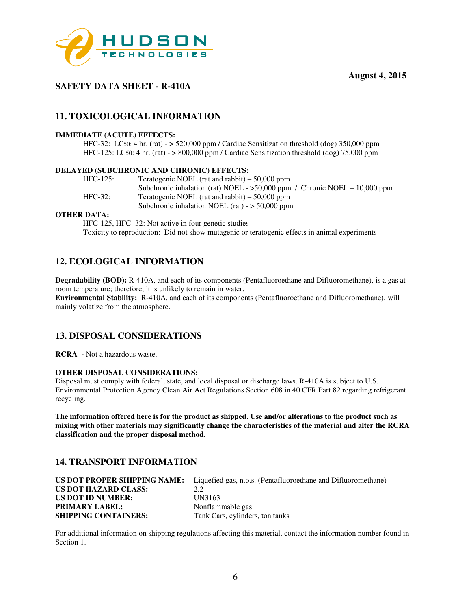



# **SAFETY DATA SHEET - R-410A**

# **11. TOXICOLOGICAL INFORMATION**

### **IMMEDIATE (ACUTE) EFFECTS:**

 HFC-32: LC50: 4 hr. (rat) - > 520,000 ppm / Cardiac Sensitization threshold (dog) 350,000 ppm HFC-125: LC50: 4 hr. (rat) - > 800,000 ppm / Cardiac Sensitization threshold (dog) 75,000 ppm

### **DELAYED (SUBCHRONIC AND CHRONIC) EFFECTS:**

| $HFC-125$ : | Teratogenic NOEL (rat and rabbit) $-50,000$ ppm                              |
|-------------|------------------------------------------------------------------------------|
|             | Subchronic inhalation (rat) NOEL - $>50,000$ ppm / Chronic NOEL - 10,000 ppm |
| $HEC-32:$   | Teratogenic NOEL (rat and rabbit) $-50,000$ ppm                              |
|             | Subchronic inhalation NOEL (rat) $-$ > 50,000 ppm                            |

#### **OTHER DATA:**

HFC-125, HFC -32: Not active in four genetic studies Toxicity to reproduction: Did not show mutagenic or teratogenic effects in animal experiments

# **12. ECOLOGICAL INFORMATION**

**Degradability (BOD):** R-410A, and each of its components (Pentafluoroethane and Difluoromethane), is a gas at room temperature; therefore, it is unlikely to remain in water. **Environmental Stability:** R-410A, and each of its components (Pentafluoroethane and Difluoromethane), will mainly volatize from the atmosphere.

### **13. DISPOSAL CONSIDERATIONS**

**RCRA -** Not a hazardous waste.

### **OTHER DISPOSAL CONSIDERATIONS:**

Disposal must comply with federal, state, and local disposal or discharge laws. R-410A is subject to U.S. Environmental Protection Agency Clean Air Act Regulations Section 608 in 40 CFR Part 82 regarding refrigerant recycling.

**The information offered here is for the product as shipped. Use and/or alterations to the product such as mixing with other materials may significantly change the characteristics of the material and alter the RCRA classification and the proper disposal method.** 

## **14. TRANSPORT INFORMATION**

|                             | <b>US DOT PROPER SHIPPING NAME:</b> Liquefied gas, n.o.s. (Pentafluoroethane and Difluoromethane) |
|-----------------------------|---------------------------------------------------------------------------------------------------|
| US DOT HAZARD CLASS:        | 2.2                                                                                               |
| <b>US DOT ID NUMBER:</b>    | UN3163                                                                                            |
| <b>PRIMARY LABEL:</b>       | Nonflammable gas                                                                                  |
| <b>SHIPPING CONTAINERS:</b> | Tank Cars, cylinders, ton tanks                                                                   |

For additional information on shipping regulations affecting this material, contact the information number found in Section 1.